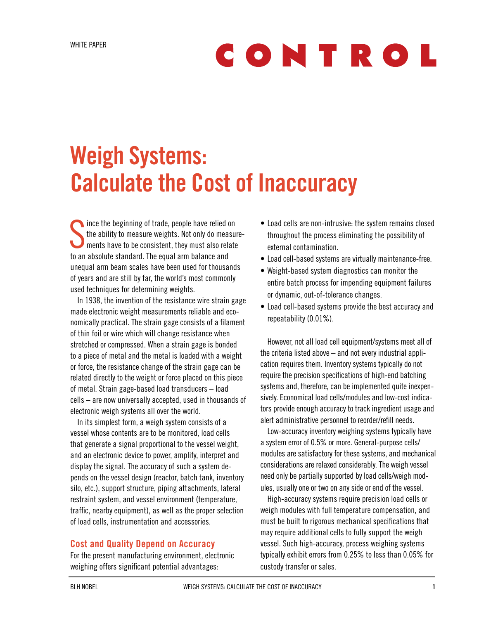# CONTROL

## Weigh Systems: Calculate the Cost of Inaccuracy

Since the beginning of trade, people have relied on<br>the ability to measure weights. Not only do measure<br>ments have to be consistent, they must also relate the ability to measure weights. Not only do measurements have to be consistent, they must also relate to an absolute standard. The equal arm balance and unequal arm beam scales have been used for thousands of years and are still by far, the world's most commonly used techniques for determining weights.

In 1938, the invention of the resistance wire strain gage made electronic weight measurements reliable and economically practical. The strain gage consists of a filament of thin foil or wire which will change resistance when stretched or compressed. When a strain gage is bonded to a piece of metal and the metal is loaded with a weight or force, the resistance change of the strain gage can be related directly to the weight or force placed on this piece of metal. Strain gage-based load transducers – load cells – are now universally accepted, used in thousands of electronic weigh systems all over the world.

In its simplest form, a weigh system consists of a vessel whose contents are to be monitored, load cells that generate a signal proportional to the vessel weight, and an electronic device to power, amplify, interpret and display the signal. The accuracy of such a system depends on the vessel design (reactor, batch tank, inventory silo, etc.), support structure, piping attachments, lateral restraint system, and vessel environment (temperature, traffic, nearby equipment), as well as the proper selection of load cells, instrumentation and accessories.

#### Cost and Quality Depend on Accuracy

For the present manufacturing environment, electronic weighing offers significant potential advantages:

- • Load cells are non-intrusive: the system remains closed throughout the process eliminating the possibility of external contamination.
- Load cell-based systems are virtually maintenance-free.
- Weight-based system diagnostics can monitor the entire batch process for impending equipment failures or dynamic, out-of-tolerance changes.
- Load cell-based systems provide the best accuracy and repeatability (0.01%).

However, not all load cell equipment/systems meet all of the criteria listed above – and not every industrial application requires them. Inventory systems typically do not require the precision specifications of high-end batching systems and, therefore, can be implemented quite inexpensively. Economical load cells/modules and low-cost indicators provide enough accuracy to track ingredient usage and alert administrative personnel to reorder/refill needs.

Low-accuracy inventory weighing systems typically have a system error of 0.5% or more. General-purpose cells/ modules are satisfactory for these systems, and mechanical considerations are relaxed considerably. The weigh vessel need only be partially supported by load cells/weigh modules, usually one or two on any side or end of the vessel.

High-accuracy systems require precision load cells or weigh modules with full temperature compensation, and must be built to rigorous mechanical specifications that may require additional cells to fully support the weigh vessel. Such high-accuracy, process weighing systems typically exhibit errors from 0.25% to less than 0.05% for custody transfer or sales.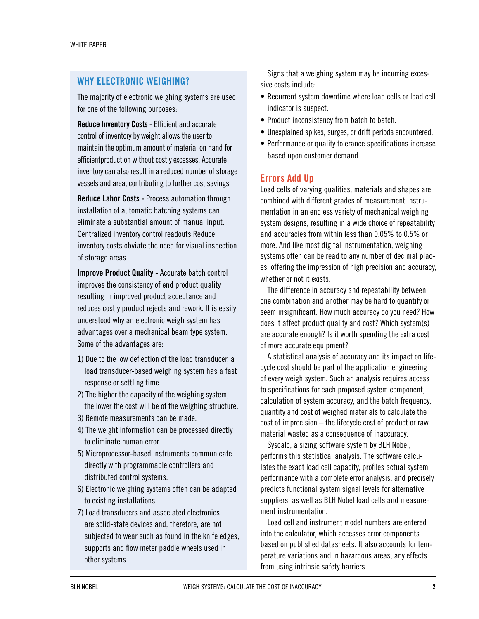#### WHY ELECTRONIC WEIGHING?

The majority of electronic weighing systems are used for one of the following purposes:

Reduce Inventory Costs - Efficient and accurate control of inventory by weight allows the user to maintain the optimum amount of material on hand for efficientproduction without costly excesses. Accurate inventory can also result in a reduced number of storage vessels and area, contributing to further cost savings.

Reduce Labor Costs - Process automation through installation of automatic batching systems can eliminate a substantial amount of manual input. Centralized inventory control readouts Reduce inventory costs obviate the need for visual inspection of storage areas.

Improve Product Quality - Accurate batch control improves the consistency of end product quality resulting in improved product acceptance and reduces costly product rejects and rework. It is easily understood why an electronic weigh system has advantages over a mechanical beam type system. Some of the advantages are:

- 1) Due to the low deflection of the load transducer, a load transducer-based weighing system has a fast response or settling time.
- 2) The higher the capacity of the weighing system, the lower the cost will be of the weighing structure.
- 3) Remote measurements can be made.
- 4) The weight information can be processed directly to eliminate human error.
- 5) Microprocessor-based instruments communicate directly with programmable controllers and distributed control systems.
- 6) Electronic weighing systems often can be adapted to existing installations.
- 7) Load transducers and associated electronics are solid-state devices and, therefore, are not subjected to wear such as found in the knife edges, supports and flow meter paddle wheels used in other systems.

Signs that a weighing system may be incurring excessive costs include:

- Recurrent system downtime where load cells or load cell indicator is suspect.
- Product inconsistency from batch to batch.
- Unexplained spikes, surges, or drift periods encountered.
- Performance or quality tolerance specifications increase based upon customer demand.

#### Errors Add Up

Load cells of varying qualities, materials and shapes are combined with different grades of measurement instrumentation in an endless variety of mechanical weighing system designs, resulting in a wide choice of repeatability and accuracies from within less than 0.05% to 0.5% or more. And like most digital instrumentation, weighing systems often can be read to any number of decimal places, offering the impression of high precision and accuracy, whether or not it exists.

The difference in accuracy and repeatability between one combination and another may be hard to quantify or seem insignificant. How much accuracy do you need? How does it affect product quality and cost? Which system(s) are accurate enough? Is it worth spending the extra cost of more accurate equipment?

A statistical analysis of accuracy and its impact on lifecycle cost should be part of the application engineering of every weigh system. Such an analysis requires access to specifications for each proposed system component, calculation of system accuracy, and the batch frequency, quantity and cost of weighed materials to calculate the cost of imprecision – the lifecycle cost of product or raw material wasted as a consequence of inaccuracy.

Syscalc, a sizing software system by BLH Nobel, performs this statistical analysis. The software calculates the exact load cell capacity, profiles actual system performance with a complete error analysis, and precisely predicts functional system signal levels for alternative suppliers' as well as BLH Nobel load cells and measurement instrumentation.

Load cell and instrument model numbers are entered into the calculator, which accesses error components based on published datasheets. It also accounts for temperature variations and in hazardous areas, any effects from using intrinsic safety barriers.